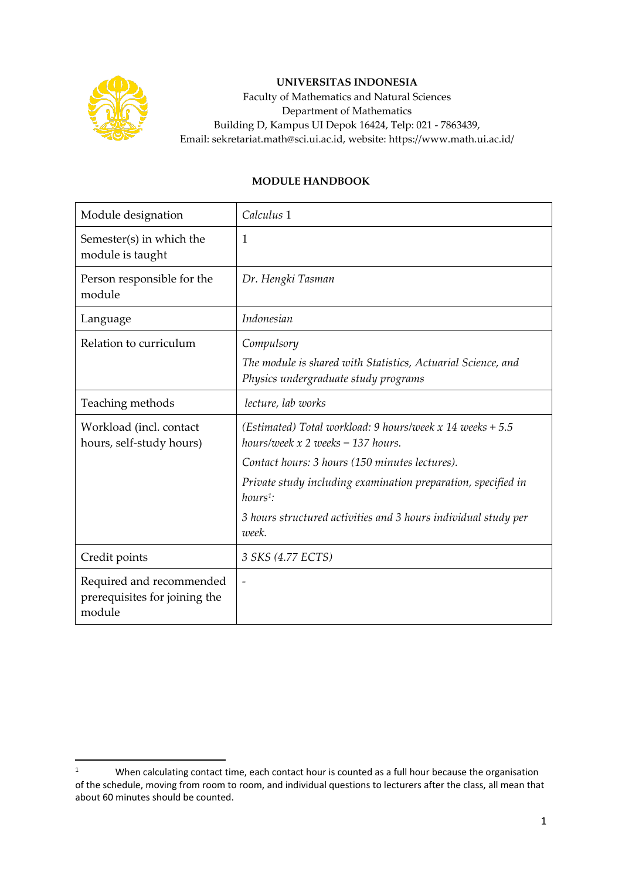

## **UNIVERSITAS INDONESIA**

Faculty of Mathematics and Natural Sciences Department of Mathematics Building D, Kampus UI Depok 16424, Telp: 021 - 7863439, Email: sekretariat.math@sci.ui.ac.id, website: https://www.math.ui.ac.id/

## **MODULE HANDBOOK**

| Module designation                                                  | Calculus 1                                                                                                                    |
|---------------------------------------------------------------------|-------------------------------------------------------------------------------------------------------------------------------|
| Semester(s) in which the<br>module is taught                        | $\mathbf{1}$                                                                                                                  |
| Person responsible for the<br>module                                | Dr. Hengki Tasman                                                                                                             |
| Language                                                            | Indonesian                                                                                                                    |
| Relation to curriculum                                              | Compulsory<br>The module is shared with Statistics, Actuarial Science, and<br>Physics undergraduate study programs            |
| Teaching methods                                                    | lecture, lab works                                                                                                            |
| Workload (incl. contact<br>hours, self-study hours)                 | (Estimated) Total workload: 9 hours/week $x$ 14 weeks + 5.5<br>hours/week $x$ 2 weeks = 137 hours.                            |
|                                                                     | Contact hours: 3 hours (150 minutes lectures).<br>Private study including examination preparation, specified in<br>$hours1$ : |
|                                                                     | 3 hours structured activities and 3 hours individual study per<br>week.                                                       |
| Credit points                                                       | 3 SKS (4.77 ECTS)                                                                                                             |
| Required and recommended<br>prerequisites for joining the<br>module | $\overline{\phantom{0}}$                                                                                                      |

<sup>&</sup>lt;sup>1</sup> When calculating contact time, each contact hour is counted as a full hour because the organisation of the schedule, moving from room to room, and individual questions to lecturers after the class, all mean that about 60 minutes should be counted.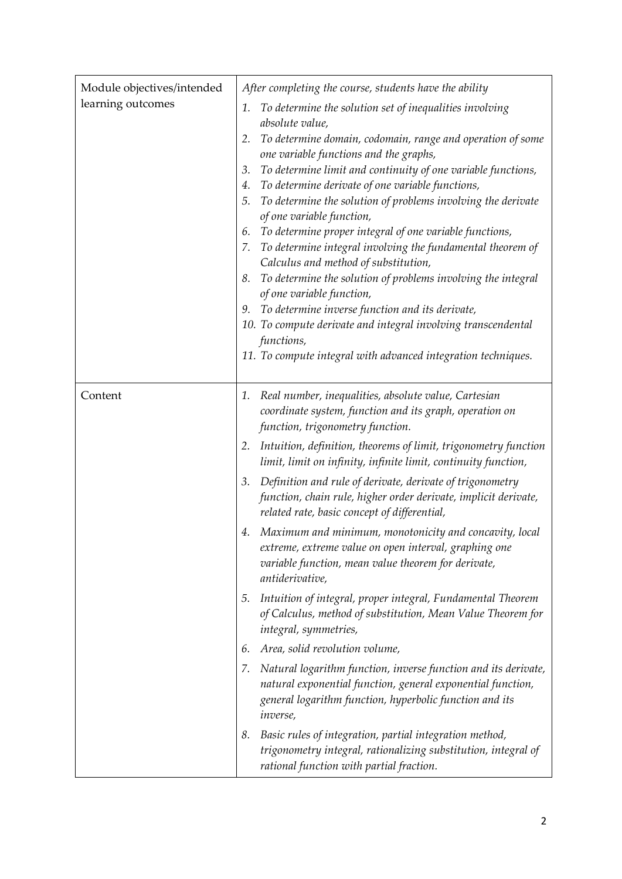| Module objectives/intended<br>learning outcomes | After completing the course, students have the ability<br>To determine the solution set of inequalities involving<br>1.<br>absolute value,<br>To determine domain, codomain, range and operation of some<br>2.<br>one variable functions and the graphs,<br>To determine limit and continuity of one variable functions,<br>3.<br>To determine derivate of one variable functions,<br>4.<br>To determine the solution of problems involving the derivate<br>5.<br>of one variable function,<br>To determine proper integral of one variable functions,<br>6.<br>To determine integral involving the fundamental theorem of<br>7.<br>Calculus and method of substitution,<br>To determine the solution of problems involving the integral<br>8.<br>of one variable function,<br>To determine inverse function and its derivate,<br>9.<br>10. To compute derivate and integral involving transcendental<br>functions,<br>11. To compute integral with advanced integration techniques.                                                                                                              |
|-------------------------------------------------|---------------------------------------------------------------------------------------------------------------------------------------------------------------------------------------------------------------------------------------------------------------------------------------------------------------------------------------------------------------------------------------------------------------------------------------------------------------------------------------------------------------------------------------------------------------------------------------------------------------------------------------------------------------------------------------------------------------------------------------------------------------------------------------------------------------------------------------------------------------------------------------------------------------------------------------------------------------------------------------------------------------------------------------------------------------------------------------------------|
| Content                                         | Real number, inequalities, absolute value, Cartesian<br>1.<br>coordinate system, function and its graph, operation on<br>function, trigonometry function.<br>Intuition, definition, theorems of limit, trigonometry function<br>2.<br>limit, limit on infinity, infinite limit, continuity function,<br>Definition and rule of derivate, derivate of trigonometry<br>3.<br>function, chain rule, higher order derivate, implicit derivate,<br>related rate, basic concept of differential,<br>4. Maximum and minimum, monotonicity and concavity, local<br>extreme, extreme value on open interval, graphing one<br>variable function, mean value theorem for derivate,<br>antiderivative,<br>Intuition of integral, proper integral, Fundamental Theorem<br>5.<br>of Calculus, method of substitution, Mean Value Theorem for<br>integral, symmetries,<br>Area, solid revolution volume,<br>6.<br>Natural logarithm function, inverse function and its derivate,<br>7.<br>natural exponential function, general exponential function,<br>general logarithm function, hyperbolic function and its |
|                                                 | <i>inverse</i> ,<br>Basic rules of integration, partial integration method,<br>8.<br>trigonometry integral, rationalizing substitution, integral of<br>rational function with partial fraction.                                                                                                                                                                                                                                                                                                                                                                                                                                                                                                                                                                                                                                                                                                                                                                                                                                                                                                   |